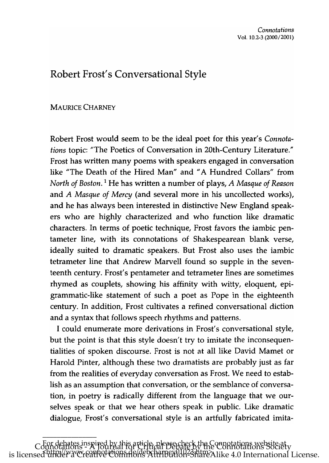## Robert Frost's Conversational Style

## MAURICE CHARNEY

\_\_\_\_\_\_\_\_\_\_\_\_\_\_\_

Robert Frost would seem to be the ideal poet for this year's *Connotations* topic: "The Poetics of Conversation in 20th-Century Literature." Frost has written many poems with speakers engaged in conversation like "The Death of the Hired Man" and "A Hundred Collars" from *North of Boston.* 1 He has written a number of plays, *A Masque of Reason*  and *A Masque of Mercy* (and several more in his uncollected works), and he has always been interested in distinctive New England speakers who are highly characterized and who function like dramatic characters. In terms of poetic technique, Frost favors the iambic pentameter line, with its connotations of Shakespearean blank verse, ideally suited to dramatic speakers. But Frost also uses the iambic tetrameter line that Andrew Marvell found so supple in the seventeenth century. Frost's pentameter and tetrameter lines are sometimes rhymed as couplets, showing his affinity with witty, eloquent, epigrammatic-like statement of such a poet as Pope in the eighteenth century. In addition, Frost cultivates a refined conversational diction and a syntax that follows speech rhythms and patterns.

I could enumerate more derivations in Frost's conversational style, but the point is that this style doesn't try to imitate the inconsequentialities of spoken discourse. Frost is not at all like David Mamet or Harold Pinter, although these two dramatists are probably just as far from the realities of everyday conversation as Frost. We need to establish as an assumption that conversation, or the semblance of conversation, in poetry is radically different from the language that we ourselves speak or that we hear others speak in public. Like dramatic dialogue, Frost's conversational style is an artfully fabricated imita-

For debates inspired by this article, please check the Connotations website at Connotations - A Journal for Critical Debate by the Connotations Society is licensed under a Creative Commons Attribution-ShareAlike 4.0 International License.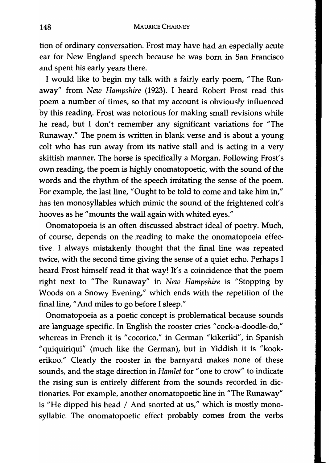tion of ordinary conversation. Frost may have had an especially acute ear for New England speech because he was born in San Francisco and spent his early years there.

I would like to begin my talk with a fairly early poem, "The Runaway" from *New Hampshire* (1923). I heard Robert Frost read this poem a number of times, so that my account is obviously influenced by this reading. Frost was notorious for making small revisions while he read, but I don't remember any significant variations for "The Runaway." The poem is written in blank verse and is about a young colt who has run away from its native stall and is acting in a very skittish manner. The horse is specifically a Morgan. Following Frost's own reading, the poem is highly onomatopoetic, with the sound of the words and the rhythm of the speech imitating the sense of the poem. For example, the last line, "Ought to be told to come and take him in," has ten monosyllables which mimic the sound of the frightened colt's hooves as he "mounts the wall again with whited eyes."

Onomatopoeia is an often discussed abstract ideal of poetry. Much, of course, depends on the reading to make the onomatopoeia effective. I always mistakenly thought that the final line was repeated twice, with the second time giving the sense of a quiet echo. Perhaps I heard Frost himself read it that way! It's a coincidence that the poem right next to "The Runaway" in *New Hampshire* is "Stopping by Woods on a Snowy Evening," which ends with the repetition of the final line, " And miles to go before I sleep."

Onomatopoeia as a poetic concept is problematical because sounds are language specific. In English the rooster cries "cock-a-doodle-do," whereas in French it is "cocorico," in German "kikeriki", in Spanish "quiquiriqui" (much like the German), but in Yiddish it is "kookerikoo." Clearly the rooster in the barnyard makes none of these sounds, and the stage direction in *Hamlet* for "one to crow" to indicate the rising sun is entirely different from the sounds recorded in dictionaries. For example, another onomatopoetic line in "The Runaway" is "He dipped his head / And snorted at us," which is mostly monosyllabic. The onomatopoetic effect probably comes from the verbs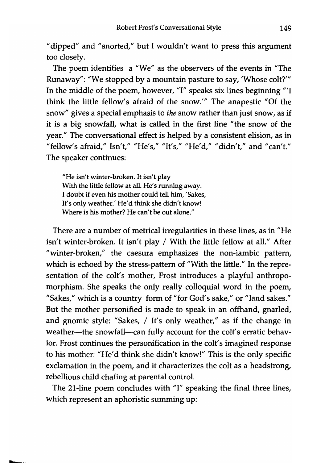"dipped" and "snorted," but I wouldn't want to press this argument too closely.

The poem identifies a "We" as the observers of the events in "The Runaway": "We stopped by a mountain pasture to say, 'Whose *colt?"'*  In the middle of the poem, however, "I" speaks six lines beginning *'"l*  think the little fellow's afraid of the *snow."'* The anapestic "Of the snow" gives a special emphasis to *the* snow rather than just snow, as if it is a big snowfall, what is called in the first line "the snow of the year." The conversational effect is helped by a consistent elision, as in "fellow's afraid," Isn't," "He's," "It's," "He'd," "didn't," and "can't." The speaker continues:

"He isn't winter-broken. It isn't play With the little fellow at all. He's running away. I doubt if even his mother could tell him, 'Sakes, It's only weather.' He'd think she didn't know! Where is his mother? He can't be out alone."

There are a number of metrical irregularities in these lines, as in "He isn't winter-broken. It isn't play / With the little fellow at all." After "winter-broken," the caesura emphasizes the non-iambic pattern, which is echoed by the stress-pattern of "With the little." In the representation of the colt's mother, Frost introduces a playful anthropomorphism. She speaks the only really colloquial word in the poem, "Sakes," which is a country form of "for God's sake," or "land sakes." But the mother personified is made to speak in an offhand, gnarled, and gnomic style: "Sakes, / It's only weather," as if the change in weather-the snowfall-can fully account for the colt's erratic behavior. Frost continues the personification in the colt's imagined response to his mother: "He'd think she didn't know!" This is the only specific exclamation in the poem, and it characterizes the colt as a headstrong, rebellious child chafing at parental control.

The 21-line poem concludes with "I" speaking the final three lines, which represent an aphoristic summing up: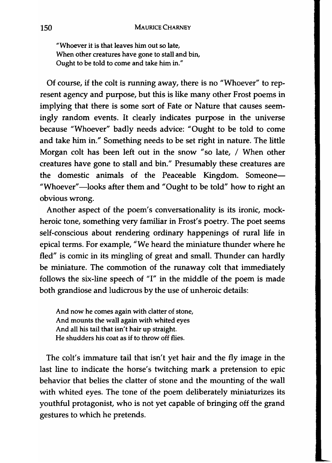"Whoever it is that leaves him out so late, When other creatures have gone to stall and bin, Ought to be told to come and take him in."

Of course, if the colt is running away, there is no "Whoever" to represent agency and purpose, but this is like many other Frost poems in implying that there is some sort of Fate or Nature that causes seemingly random events. It clearly indicates purpose in the universe because "Whoever" badly needs advice: "Ought to be told to come and take him in." Something needs to be set right in nature. The little Morgan colt has been left out in the snow "so late, / When other creatures have gone to stall and bin." Presumably these creatures are the domestic animals of the Peaceable Kingdom. Someone-"Whoever"-looks after them and "Ought to be told" how to right an obvious wrong.

Another aspect of the poem's conversationality is its ironic, mockheroic tone, something very familiar in Frost's poetry. The poet seems self-conscious about rendering ordinary happenings of rural life in epical terms. For example, "We heard the miniature thunder where he fled" is comic in its mingling of great and small. Thunder can hardly be miniature. The commotion of the runaway colt that immediately follows the six-line speech of "1" in the middle of the poem is made both grandiose and ludicrous by the use of unheroic details:

And now he comes again with clatter of stone, And mounts the wall again with whited eyes And all his tail that isn't hair up straight. He shudders his coat as if to throw off flies.

The colt's immature tail that isn't yet hair and the fly image in the last line to indicate the horse's twitching mark a pretension to epic behavior that belies the clatter of stone and the mounting of the wall with whited eyes. The tone of the poem deliberately miniaturizes its youthful protagonist, who is not yet capable of bringing off the grand gestures to which he pretends.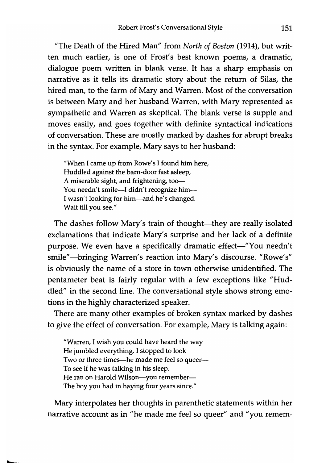"The Death of the Hired Man" from *North of Boston* (1914), but written much earlier, is one of Frost's best known poems, a dramatic, dialogue poem written in blank verse. It has a sharp emphasis on narrative as it tells its dramatic story about the return of Silas, the hired man, to the farm of Mary and Warren. Most of the conversation is between Mary and her husband Warren, with Mary represented as sympathetic and Warren as skeptical. The blank verse is supple and moves easily, and goes together with definite syntactical indications of conversation. These are mostly marked by dashes for abrupt breaks in the syntax. For example, Mary says to her husband:

"When I came up from Rowe's I found him here, Huddled against the barn-door fast asleep, A miserable sight, and frightening, too-You needn't smile-I didn't recognize him-I wasn't looking for him-and he's changed. Wait till you see."

The dashes follow Mary's train of thought-they are really isolated exclamations that indicate Mary's surprise and her lack of a definite purpose. We even have a specifically dramatic effect-"You needn't smile"-bringing Warren's reaction into Mary's discourse. "Rowe's" is obviously the name of a store in town otherwise unidentified. The pentameter beat is fairly regular with a few exceptions like "Huddled" in the second line. The conversational style shows strong emotions in the highly characterized speaker.

There are many other examples of broken syntax marked by dashes to give the effect of conversation. For example, Mary is talking again:

"Warren, I wish you could have heard the way He jumbled everything. I stopped to look Two or three times-he made me feel so queer-To see if he was talking in his sleep. He ran on Harold Wilson-you remember-The boy you had in haying four years since."

Mary interpolates her thoughts in parenthetic statements within her narrative account as in "he made me feel so queer" and "you remem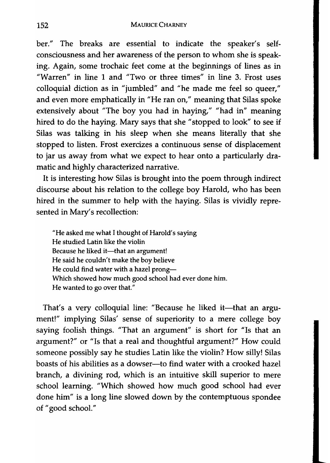ber." The breaks are essential to indicate the speaker's selfconsciousness and her awareness of the person to whom she is speaking. Again, some trochaic feet come at the beginnings of lines as in "Warren" in line 1 and "Two or three times" in line 3. Frost uses colloquial diction as in "jumbled" and "he made me feel so queer," and even more emphatically in "He ran on," meaning that Silas spoke extensively about "The boy you had in haying," "had in" meaning hired to do the haying. Mary says that she" stopped to look" to see if Silas was talking in his sleep when she means literally that she stopped to listen. Frost exercizes a continuous sense of displacement to jar us away from what we expect to hear onto a particularly dramatic and highly characterized narrative.

It is interesting how Silas is brought into the poem through indirect discourse about his relation to the college boy Harold, who has been hired in the summer to help with the haying. Silas is vividly represented in Mary's recollection:

"He asked me what I thought of Harold's saying He studied Latin like the violin Because he liked it-that an argument! He said he couldn't make the boy believe He could find water with a hazel prong-Which showed how much good school had ever done him. He wanted to go over that."

That's a very colloquial line: "Because he liked it-that an argument!" implying Silas' sense of superiority to a mere college boy saying foolish things. "That an argument" is short for "Is that an argument?" or "Is that a real and thoughtful argument?" How could someone possibly say he studies Latin like the violin? How silly! Silas boasts of his abilities as a dowser--- to find water with a crooked hazel branch, a divining rod, which is an intuitive skill superior to mere school learning. "Which showed how much good school had ever done him" is a long line slowed down by the contemptuous spondee of" good school."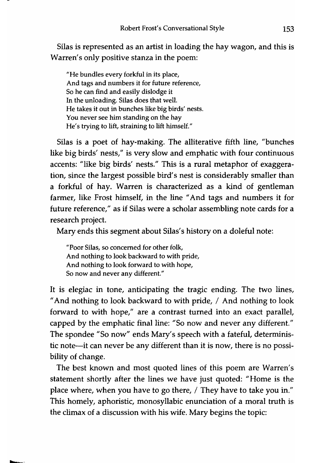5ilas is represented as an artist in loading the hay wagon, and this is Warren's only positive stanza in the poem:

"He bundles every forkful in its place, And tags and numbers it for future reference, So he can find and easily dislodge it In the unloading. Silas does that well. He takes it out in bunches like big birds' nests. You never see him standing on the hay He's trying to lift, straining to lift himself."

5ilas is a poet of hay-making. The alliterative fifth line, "bunches like big birds' nests," is very slow and emphatic with four continuous accents: "like big birds' nests." This is a rural metaphor of exaggeration, since the largest possible bird's nest is considerably smaller than a forkful of hay. Warren is characterized as a kind of gentleman farmer, like Frost himself, in the line "And tags and numbers it for future reference," as if 5ilas were a scholar assembling note cards for a research project.

Mary ends this segment about 5ilas's history on a doleful note:

"Poor Silas, so concerned for other folk, And nothing to look backward to with pride, And nothing to look forward to with hope, So now and never any different."

It is elegiac in tone, anticipating the tragic ending. The two lines, " And nothing to look backward to with pride, / And nothing to look forward to with hope," are a contrast turned into an exact parallel, capped by the emphatic final line: "50 now and never any different." The spondee "50 now" ends Mary's speech with a fateful, deterministic note-it can never be any different than it is now, there is no possibility of change.

The best known and most quoted lines of this poem are Warren's statement shortly after the lines we have just quoted: "Home is the place where, when you have to go there, / They have to take you in." This homely, aphoristic, monosyllabic enunciation of a moral truth is the climax of a discussion with his wife. Mary begins the topic: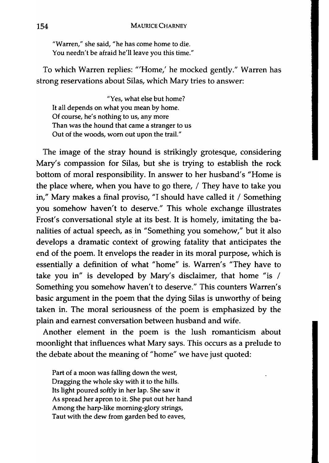"Warren," she said, "he has come home to die. You needn't be afraid he'll leave you this time."

To which Warren replies: '''Home,' he mocked gently." Warren has strong reservations about Silas, which Mary tries to answer:

"Yes, what else but home? It all depends on what you mean by home. Of course, he's nothing to us, any more Than was the hound that came a stranger to us Out of the woods, worn out upon the trail."

The image of the stray hound is strikingly grotesque, considering Mary's compassion for Silas, but she is trying to establish the rock bottom of moral responsibility. In answer to her husband's "Home is the place where, when you have to go there, / They have to take you in," Mary makes a final proviso, "I should have called it / Something you somehow haven't to deserve." This whole exchange illustrates Frost's conversational style at its best. It is homely, imitating the banalities of actual speech, as in "Something you somehow," but it also develops a dramatic context of growing fatality that anticipates the end of the poem. It envelops the reader in its moral purpose, which is essentially a definition of what "home" is. Warren's "They have to take you in" is developed by Mary's disclaimer, that home "is / Something you somehow haven't to deserve." This counters Warren's basic argument in the poem that the dying Silas is unworthy of being taken in. The moral seriousness of the poem is emphasized by the plain and earnest conversation between husband and wife.

Another element in the poem is the lush romanticism about moonlight that influences what Mary says. This occurs as a prelude to the debate about the meaning of "home" we have just quoted:

Part of a moon was falling down the west, Dragging the whole sky with it to the hills. Its light poured softly in her lap. She saw it As spread her apron to it. She put out her hand Among the harp-like morning-glory strings, Taut with the dew from garden bed to eaves,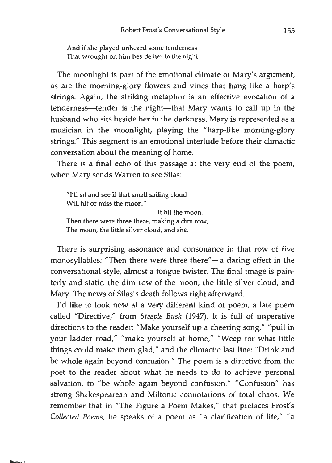And if she played unheard some tenderness That wrought on him beside her in the night.

The moonlight is part of the emotional climate of Mary's argument, as are the morning-glory flowers and vines that hang like a harp's strings. Again, the striking metaphor is an effective evocation of a tenderness-tender is the night-that Mary wants to call up in the husband who sits beside her in the darkness. Mary is represented as a musician in the moonlight, playing the "harp-like morning-glory strings." This segment is an emotional interlude before their climactic conversation about the meaning of home.

There is a final echo of this passage at the very end of the poem, when Mary sends Warren to see Silas:

"I'll sit and see if that small sailing cloud Will hit or miss the moon." It hit the moon. Then there were three there, making a dim row, The moon, the little silver cloud, and she.

There is surprising assonance and consonance in that row of five monosyllables: "Then there were three there"-a daring effect in the conversational style, almost a tongue twister. The final image is painterly and static: the dim row of the moon, the little silver cloud, and Mary. The news of Silas's death follows right afterward.

I'd like to look now at a very different kind of poem, a late poem called "Directive," from *Steeple Bush* (1947). It is full of imperative directions to the reader: "Make yourself up a cheering song," "pull in your ladder road," "make yourself at home," "Weep for what little things could make them glad," and the climactic last line: "Drink and be whole again beyond confusion." The poem is a directive from the poet to the reader about what he needs to do to achieve personal salvation, to "be whole again beyond confusion." "Confusion" has strong Shakespearean and Miltonic connotations of total chaos. We remember that in "The Figure a Poem Makes," that prefaces Frost's *Collected Poems,* he speaks of a poem as "a clarification of life," "a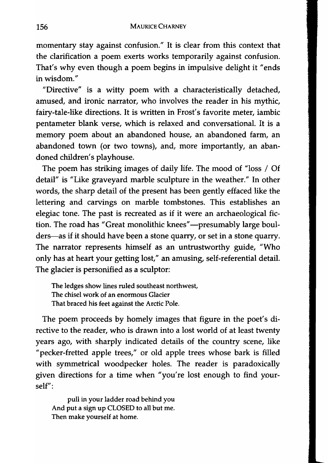momentary stay against confusion." It is clear from this context that the clarification a poem exerts works temporarily against confusion. That's why even though a poem begins in impulsive delight it "ends in wisdom."

"Directive" is a witty poem with a characteristically detached, amused, and ironic narrator, who involves the reader in his mythic, fairy-tale-like directions. It is written in Frost's favorite meter, iambic pentameter blank verse, which is relaxed and conversational. It is a memory poem about an abandoned house, an abandoned farm, an abandoned town (or two towns), and, more importantly, an abandoned children's playhouse.

The poem has striking images of daily life. The mood of "loss / Of detail" is "Like graveyard marble sculpture in the weather." In other words, the sharp detail of the present has been gently effaced like the lettering and carvings on marble tombstones. This establishes an elegiac tone. The past is recreated as if it were an archaeological fiction. The road has "Great monolithic knees"-presumably large boulders—as if it should have been a stone quarry, or set in a stone quarry. The narrator represents himself as an untrustworthy guide, "Who only has at heart your getting lost," an amusing, self-referential detail. The glacier is personified as a sculptor:

The ledges show lines ruled southeast northwest, The chisel work of an enormous Glacier That braced his feet against the Arctic Pole.

The poem proceeds by homely images that figure in the poet's directive to the reader, who is drawn into a lost world of at least twenty years ago, with sharply indicated details of the country scene, like "pecker-fretted apple trees," or old apple trees whose bark is filled with symmetrical woodpecker holes. The reader is paradoxically given directions for a time when "you're lost enough to find yourself":

pull in your ladder road behind you And put a sign up CLOSED to all but me. Then make yourself at home.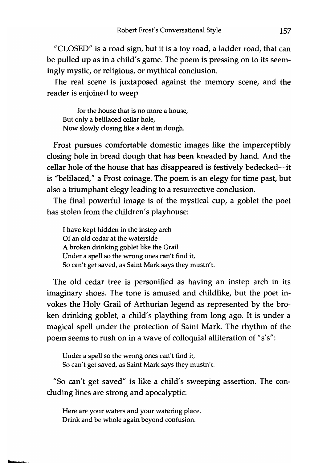"CLOSED" is a road sign, but it is a toy road, a ladder road, that can be pulled up as in a child's game. The poem is pressing on to its seemingly mystic, or religious, or mythical conclusion.

The real scene is juxtaposed against the memory scene, and the reader is enjoined to weep

for the house that is no more a house, But only a belilaced cellar hole, Now slowly closing like a dent in dough.

Frost pursues comfortable domestic images like the imperceptibly closing hole in bread dough that has been kneaded by hand. And the cellar hole of the house that has disappeared is festively bedecked---it is "belilaced," a Frost coinage. The poem is an elegy for time past, but also a triumphant elegy leading to a resurrective conclusion.

The final powerful image is of the mystical cup, a goblet the poet has stolen from the children's playhouse:

I have kept hidden in the instep arch Of an old cedar at the waterside A broken drinking goblet like the Grail Under a spell so the wrong ones can't find it, So can't get saved, as Saint Mark says they mustn't.

The old cedar tree is personified as having an instep arch in its imaginary shoes. The tone is amused and childlike, but the poet invokes the Holy Grail of Arthurian legend as represented by the broken drinking goblet, a child's plaything from long ago. It is under a magical spell under the protection of Saint Mark. The rhythm of the poem seems to rush on in a wave of colloquial alliteration of "s's":

Under a spell so the wrong ones can't find it, So can't get saved, as Saint Mark says they mustn't.

"So can't get saved" is like a child's sweeping assertion. The concluding lines are strong and apocalyptic:

Here are your waters and your watering place. Drink and be whole again beyond confusion.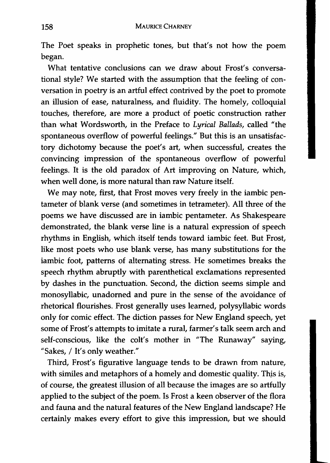The Poet speaks in prophetic tones, but that's not how the poem began.

What tentative conclusions can we draw about Frost's conversational style? We started with the assumption that the feeling of conversation in poetry is an artful effect contrived by the poet to promote an illusion of ease, naturalness, and fluidity. The homely, colloquial touches, therefore, are more a product of poetic construction rather than what Wordsworth, in the Preface to *Lyrical Ballads,* called "the spontaneous overflow of powerful feelings." But this is an unsatisfactory dichotomy because the poet's art, when successful, creates the convincing impression of the spontaneous overflow of powerful feelings. It is the old paradox of Art improving on Nature, which, when well done, is more natural than raw Nature itself.

We may note, first, that Frost moves very freely in the iambic pentameter of blank verse (and sometimes in tetrameter). All three of the poems we have discussed are in iambic pentameter. As Shakespeare demonstrated, the blank verse line is a natural expression of speech rhythms in English, which .itself tends toward iambic feet. But Frost, like most poets who use blank verse, has many substitutions for the iambic foot, patterns of alternating stress. He sometimes breaks the speech rhythm abruptly with parenthetical exclamations represented by dashes in the punctuation. Second, the diction seems simple and monosyllabic, unadorned and pure in the sense of the avoidance of rhetorical flourishes. Frost generally uses learned, polysyllabic words only for comic effect. The diction passes for New England speech, yet some of Frost's attempts to imitate a rural, farmer's talk seem arch and self-conscious, like the colt's mother in "The Runaway" saying, "Sakes, / It's only weather."

Third, Frost's figurative language tends to be drawn from nature, with similes and metaphors of a homely and domestic quality. Thjs is, of course, the greatest illusion of all because the images are so artfully applied to the subject of the poem. Is Frost a keen observer of the flora and fauna and the natural features of the New England landscape? He certainly makes every effort to give this impression, but we should